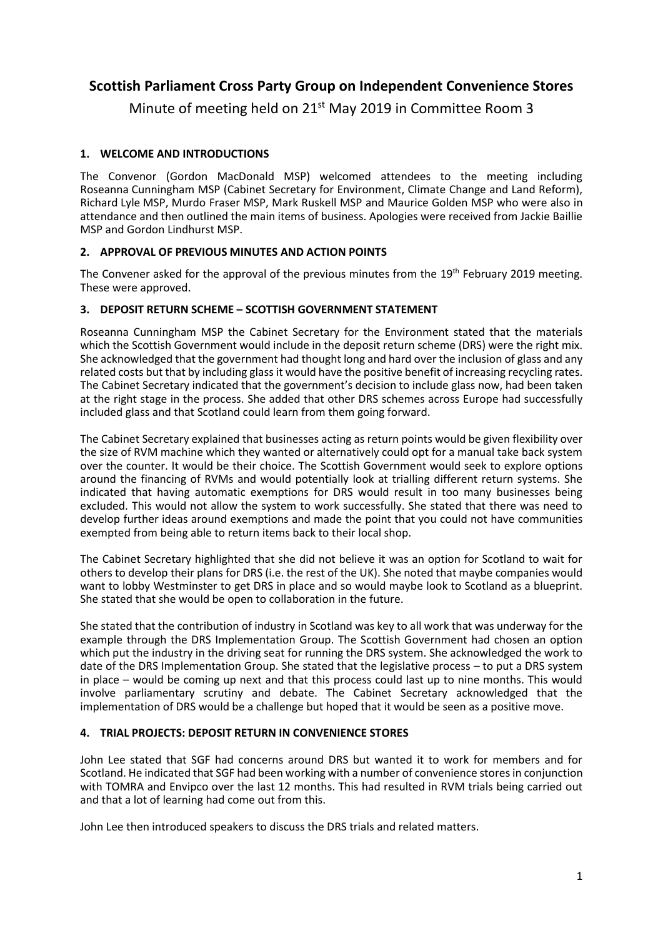## **Scottish Parliament Cross Party Group on Independent Convenience Stores**

Minute of meeting held on 21<sup>st</sup> May 2019 in Committee Room 3

## **1. WELCOME AND INTRODUCTIONS**

The Convenor (Gordon MacDonald MSP) welcomed attendees to the meeting including Roseanna Cunningham MSP (Cabinet Secretary for Environment, Climate Change and Land Reform), Richard Lyle MSP, Murdo Fraser MSP, Mark Ruskell MSP and Maurice Golden MSP who were also in attendance and then outlined the main items of business. Apologies were received from Jackie Baillie MSP and Gordon Lindhurst MSP.

## **2. APPROVAL OF PREVIOUS MINUTES AND ACTION POINTS**

The Convener asked for the approval of the previous minutes from the 19<sup>th</sup> February 2019 meeting. These were approved.

## **3. DEPOSIT RETURN SCHEME – SCOTTISH GOVERNMENT STATEMENT**

Roseanna Cunningham MSP the Cabinet Secretary for the Environment stated that the materials which the Scottish Government would include in the deposit return scheme (DRS) were the right mix. She acknowledged that the government had thought long and hard over the inclusion of glass and any related costs but that by including glass it would have the positive benefit of increasing recycling rates. The Cabinet Secretary indicated that the government's decision to include glass now, had been taken at the right stage in the process. She added that other DRS schemes across Europe had successfully included glass and that Scotland could learn from them going forward.

The Cabinet Secretary explained that businesses acting as return points would be given flexibility over the size of RVM machine which they wanted or alternatively could opt for a manual take back system over the counter. It would be their choice. The Scottish Government would seek to explore options around the financing of RVMs and would potentially look at trialling different return systems. She indicated that having automatic exemptions for DRS would result in too many businesses being excluded. This would not allow the system to work successfully. She stated that there was need to develop further ideas around exemptions and made the point that you could not have communities exempted from being able to return items back to their local shop.

The Cabinet Secretary highlighted that she did not believe it was an option for Scotland to wait for others to develop their plans for DRS (i.e. the rest of the UK). She noted that maybe companies would want to lobby Westminster to get DRS in place and so would maybe look to Scotland as a blueprint. She stated that she would be open to collaboration in the future.

She stated that the contribution of industry in Scotland was key to all work that was underway for the example through the DRS Implementation Group. The Scottish Government had chosen an option which put the industry in the driving seat for running the DRS system. She acknowledged the work to date of the DRS Implementation Group. She stated that the legislative process – to put a DRS system in place – would be coming up next and that this process could last up to nine months. This would involve parliamentary scrutiny and debate. The Cabinet Secretary acknowledged that the implementation of DRS would be a challenge but hoped that it would be seen as a positive move.

## **4. TRIAL PROJECTS: DEPOSIT RETURN IN CONVENIENCE STORES**

John Lee stated that SGF had concerns around DRS but wanted it to work for members and for Scotland. He indicated that SGF had been working with a number of convenience stores in conjunction with TOMRA and Envipco over the last 12 months. This had resulted in RVM trials being carried out and that a lot of learning had come out from this.

John Lee then introduced speakers to discuss the DRS trials and related matters.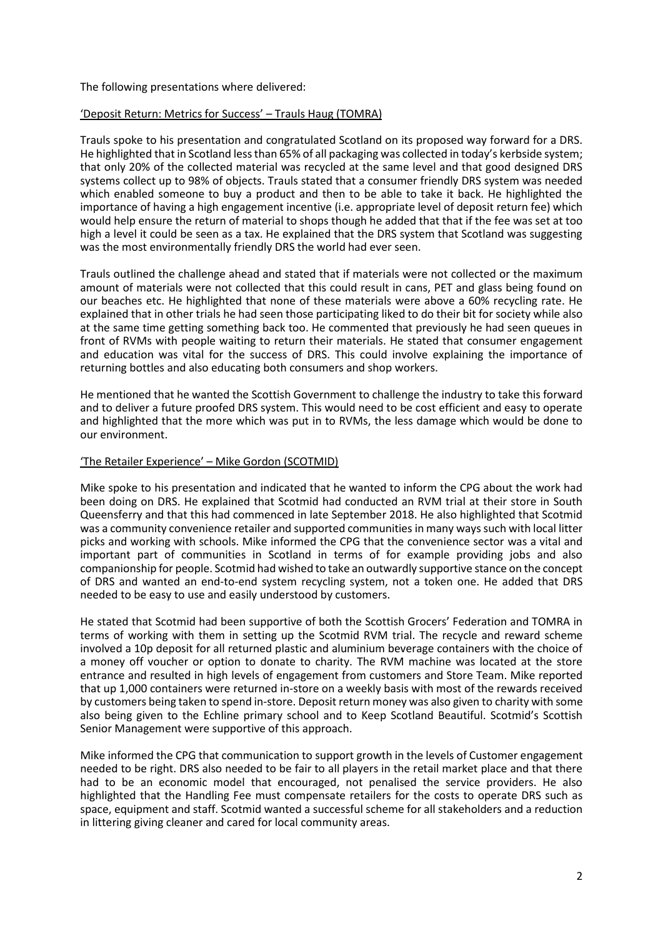#### The following presentations where delivered:

#### 'Deposit Return: Metrics for Success' – Trauls Haug (TOMRA)

Trauls spoke to his presentation and congratulated Scotland on its proposed way forward for a DRS. He highlighted that in Scotland less than 65% of all packaging was collected in today's kerbside system; that only 20% of the collected material was recycled at the same level and that good designed DRS systems collect up to 98% of objects. Trauls stated that a consumer friendly DRS system was needed which enabled someone to buy a product and then to be able to take it back. He highlighted the importance of having a high engagement incentive (i.e. appropriate level of deposit return fee) which would help ensure the return of material to shops though he added that that if the fee was set at too high a level it could be seen as a tax. He explained that the DRS system that Scotland was suggesting was the most environmentally friendly DRS the world had ever seen.

Trauls outlined the challenge ahead and stated that if materials were not collected or the maximum amount of materials were not collected that this could result in cans, PET and glass being found on our beaches etc. He highlighted that none of these materials were above a 60% recycling rate. He explained that in other trials he had seen those participating liked to do their bit for society while also at the same time getting something back too. He commented that previously he had seen queues in front of RVMs with people waiting to return their materials. He stated that consumer engagement and education was vital for the success of DRS. This could involve explaining the importance of returning bottles and also educating both consumers and shop workers.

He mentioned that he wanted the Scottish Government to challenge the industry to take this forward and to deliver a future proofed DRS system. This would need to be cost efficient and easy to operate and highlighted that the more which was put in to RVMs, the less damage which would be done to our environment.

#### 'The Retailer Experience' – Mike Gordon (SCOTMID)

Mike spoke to his presentation and indicated that he wanted to inform the CPG about the work had been doing on DRS. He explained that Scotmid had conducted an RVM trial at their store in South Queensferry and that this had commenced in late September 2018. He also highlighted that Scotmid was a community convenience retailer and supported communities in many ways such with local litter picks and working with schools. Mike informed the CPG that the convenience sector was a vital and important part of communities in Scotland in terms of for example providing jobs and also companionship for people. Scotmid had wished to take an outwardly supportive stance on the concept of DRS and wanted an end-to-end system recycling system, not a token one. He added that DRS needed to be easy to use and easily understood by customers.

He stated that Scotmid had been supportive of both the Scottish Grocers' Federation and TOMRA in terms of working with them in setting up the Scotmid RVM trial. The recycle and reward scheme involved a 10p deposit for all returned plastic and aluminium beverage containers with the choice of a money off voucher or option to donate to charity. The RVM machine was located at the store entrance and resulted in high levels of engagement from customers and Store Team. Mike reported that up 1,000 containers were returned in-store on a weekly basis with most of the rewards received by customers being taken to spend in-store. Deposit return money was also given to charity with some also being given to the Echline primary school and to Keep Scotland Beautiful. Scotmid's Scottish Senior Management were supportive of this approach.

Mike informed the CPG that communication to support growth in the levels of Customer engagement needed to be right. DRS also needed to be fair to all players in the retail market place and that there had to be an economic model that encouraged, not penalised the service providers. He also highlighted that the Handling Fee must compensate retailers for the costs to operate DRS such as space, equipment and staff. Scotmid wanted a successful scheme for all stakeholders and a reduction in littering giving cleaner and cared for local community areas.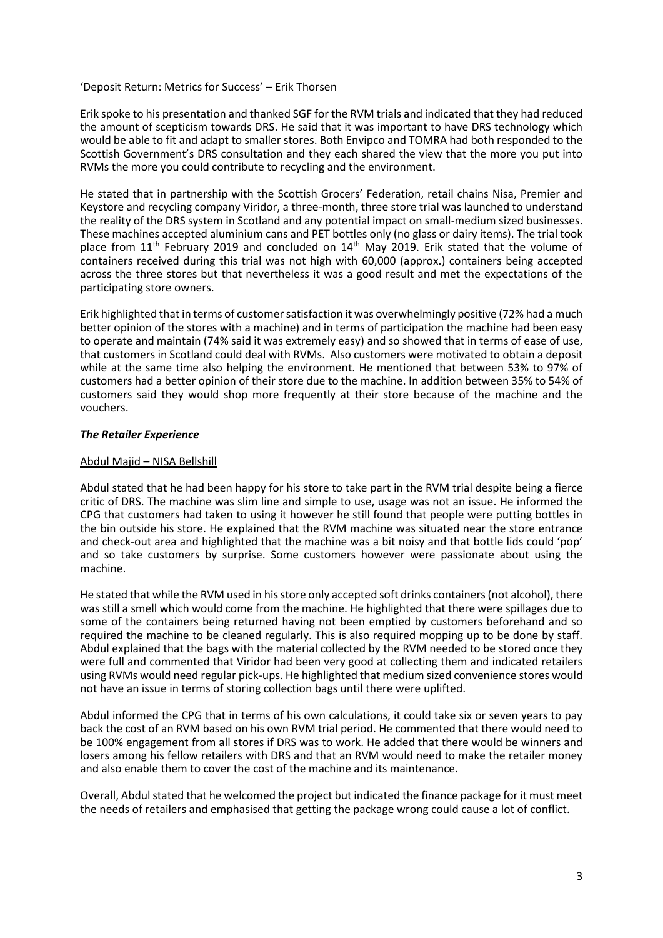#### 'Deposit Return: Metrics for Success' – Erik Thorsen

Erik spoke to his presentation and thanked SGF for the RVM trials and indicated that they had reduced the amount of scepticism towards DRS. He said that it was important to have DRS technology which would be able to fit and adapt to smaller stores. Both Envipco and TOMRA had both responded to the Scottish Government's DRS consultation and they each shared the view that the more you put into RVMs the more you could contribute to recycling and the environment.

He stated that in partnership with the Scottish Grocers' Federation, retail chains Nisa, Premier and Keystore and recycling company Viridor, a three-month, three store trial was launched to understand the reality of the DRS system in Scotland and any potential impact on small-medium sized businesses. These machines accepted aluminium cans and PET bottles only (no glass or dairy items). The trial took place from  $11<sup>th</sup>$  February 2019 and concluded on  $14<sup>th</sup>$  May 2019. Erik stated that the volume of containers received during this trial was not high with 60,000 (approx.) containers being accepted across the three stores but that nevertheless it was a good result and met the expectations of the participating store owners.

Erik highlighted that in terms of customer satisfaction it was overwhelmingly positive (72% had a much better opinion of the stores with a machine) and in terms of participation the machine had been easy to operate and maintain (74% said it was extremely easy) and so showed that in terms of ease of use, that customers in Scotland could deal with RVMs. Also customers were motivated to obtain a deposit while at the same time also helping the environment. He mentioned that between 53% to 97% of customers had a better opinion of their store due to the machine. In addition between 35% to 54% of customers said they would shop more frequently at their store because of the machine and the vouchers.

#### *The Retailer Experience*

#### Abdul Majid – NISA Bellshill

Abdul stated that he had been happy for his store to take part in the RVM trial despite being a fierce critic of DRS. The machine was slim line and simple to use, usage was not an issue. He informed the CPG that customers had taken to using it however he still found that people were putting bottles in the bin outside his store. He explained that the RVM machine was situated near the store entrance and check-out area and highlighted that the machine was a bit noisy and that bottle lids could 'pop' and so take customers by surprise. Some customers however were passionate about using the machine.

He stated that while the RVM used in his store only accepted soft drinks containers (not alcohol), there was still a smell which would come from the machine. He highlighted that there were spillages due to some of the containers being returned having not been emptied by customers beforehand and so required the machine to be cleaned regularly. This is also required mopping up to be done by staff. Abdul explained that the bags with the material collected by the RVM needed to be stored once they were full and commented that Viridor had been very good at collecting them and indicated retailers using RVMs would need regular pick-ups. He highlighted that medium sized convenience stores would not have an issue in terms of storing collection bags until there were uplifted.

Abdul informed the CPG that in terms of his own calculations, it could take six or seven years to pay back the cost of an RVM based on his own RVM trial period. He commented that there would need to be 100% engagement from all stores if DRS was to work. He added that there would be winners and losers among his fellow retailers with DRS and that an RVM would need to make the retailer money and also enable them to cover the cost of the machine and its maintenance.

Overall, Abdul stated that he welcomed the project but indicated the finance package for it must meet the needs of retailers and emphasised that getting the package wrong could cause a lot of conflict.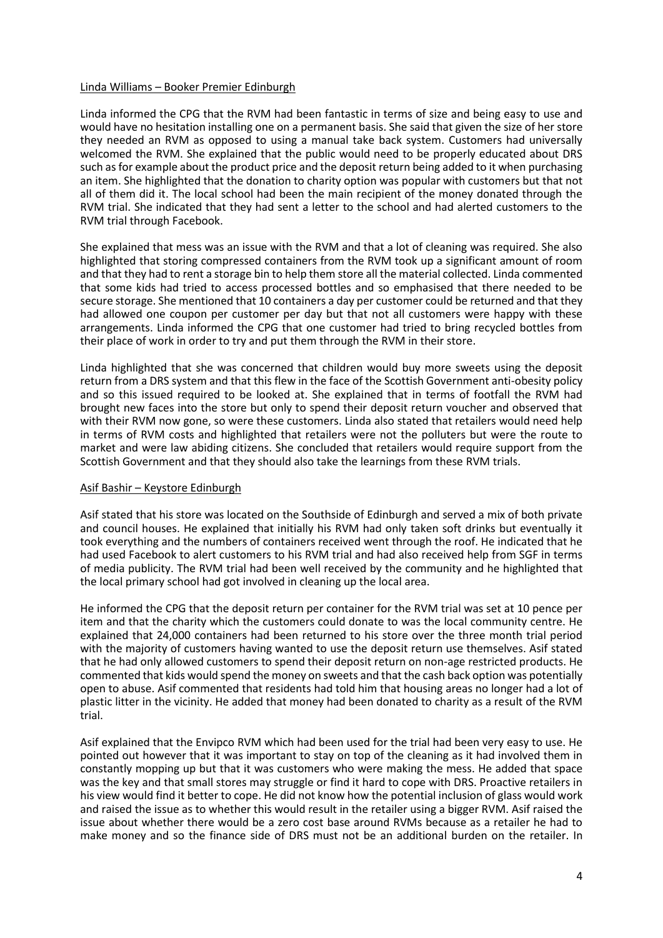#### Linda Williams – Booker Premier Edinburgh

Linda informed the CPG that the RVM had been fantastic in terms of size and being easy to use and would have no hesitation installing one on a permanent basis. She said that given the size of her store they needed an RVM as opposed to using a manual take back system. Customers had universally welcomed the RVM. She explained that the public would need to be properly educated about DRS such as for example about the product price and the deposit return being added to it when purchasing an item. She highlighted that the donation to charity option was popular with customers but that not all of them did it. The local school had been the main recipient of the money donated through the RVM trial. She indicated that they had sent a letter to the school and had alerted customers to the RVM trial through Facebook.

She explained that mess was an issue with the RVM and that a lot of cleaning was required. She also highlighted that storing compressed containers from the RVM took up a significant amount of room and that they had to rent a storage bin to help them store all the material collected. Linda commented that some kids had tried to access processed bottles and so emphasised that there needed to be secure storage. She mentioned that 10 containers a day per customer could be returned and that they had allowed one coupon per customer per day but that not all customers were happy with these arrangements. Linda informed the CPG that one customer had tried to bring recycled bottles from their place of work in order to try and put them through the RVM in their store.

Linda highlighted that she was concerned that children would buy more sweets using the deposit return from a DRS system and that this flew in the face of the Scottish Government anti-obesity policy and so this issued required to be looked at. She explained that in terms of footfall the RVM had brought new faces into the store but only to spend their deposit return voucher and observed that with their RVM now gone, so were these customers. Linda also stated that retailers would need help in terms of RVM costs and highlighted that retailers were not the polluters but were the route to market and were law abiding citizens. She concluded that retailers would require support from the Scottish Government and that they should also take the learnings from these RVM trials.

#### Asif Bashir – Keystore Edinburgh

Asif stated that his store was located on the Southside of Edinburgh and served a mix of both private and council houses. He explained that initially his RVM had only taken soft drinks but eventually it took everything and the numbers of containers received went through the roof. He indicated that he had used Facebook to alert customers to his RVM trial and had also received help from SGF in terms of media publicity. The RVM trial had been well received by the community and he highlighted that the local primary school had got involved in cleaning up the local area.

He informed the CPG that the deposit return per container for the RVM trial was set at 10 pence per item and that the charity which the customers could donate to was the local community centre. He explained that 24,000 containers had been returned to his store over the three month trial period with the majority of customers having wanted to use the deposit return use themselves. Asif stated that he had only allowed customers to spend their deposit return on non-age restricted products. He commented that kids would spend the money on sweets and that the cash back option was potentially open to abuse. Asif commented that residents had told him that housing areas no longer had a lot of plastic litter in the vicinity. He added that money had been donated to charity as a result of the RVM trial.

Asif explained that the Envipco RVM which had been used for the trial had been very easy to use. He pointed out however that it was important to stay on top of the cleaning as it had involved them in constantly mopping up but that it was customers who were making the mess. He added that space was the key and that small stores may struggle or find it hard to cope with DRS. Proactive retailers in his view would find it better to cope. He did not know how the potential inclusion of glass would work and raised the issue as to whether this would result in the retailer using a bigger RVM. Asif raised the issue about whether there would be a zero cost base around RVMs because as a retailer he had to make money and so the finance side of DRS must not be an additional burden on the retailer. In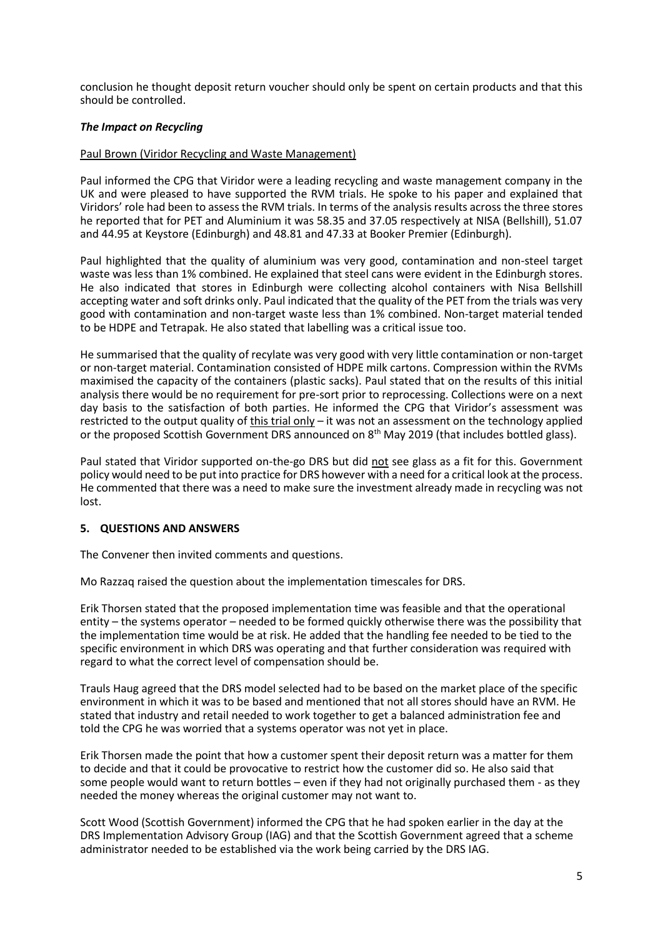conclusion he thought deposit return voucher should only be spent on certain products and that this should be controlled.

#### *The Impact on Recycling*

#### Paul Brown (Viridor Recycling and Waste Management)

Paul informed the CPG that Viridor were a leading recycling and waste management company in the UK and were pleased to have supported the RVM trials. He spoke to his paper and explained that Viridors' role had been to assess the RVM trials. In terms of the analysis results across the three stores he reported that for PET and Aluminium it was 58.35 and 37.05 respectively at NISA (Bellshill), 51.07 and 44.95 at Keystore (Edinburgh) and 48.81 and 47.33 at Booker Premier (Edinburgh).

Paul highlighted that the quality of aluminium was very good, contamination and non-steel target waste was less than 1% combined. He explained that steel cans were evident in the Edinburgh stores. He also indicated that stores in Edinburgh were collecting alcohol containers with Nisa Bellshill accepting water and soft drinks only. Paul indicated that the quality of the PET from the trials was very good with contamination and non-target waste less than 1% combined. Non-target material tended to be HDPE and Tetrapak. He also stated that labelling was a critical issue too.

He summarised that the quality of recylate was very good with very little contamination or non-target or non-target material. Contamination consisted of HDPE milk cartons. Compression within the RVMs maximised the capacity of the containers (plastic sacks). Paul stated that on the results of this initial analysis there would be no requirement for pre-sort prior to reprocessing. Collections were on a next day basis to the satisfaction of both parties. He informed the CPG that Viridor's assessment was restricted to the output quality of this trial only – it was not an assessment on the technology applied or the proposed Scottish Government DRS announced on 8<sup>th</sup> May 2019 (that includes bottled glass).

Paul stated that Viridor supported on-the-go DRS but did not see glass as a fit for this. Government policy would need to be put into practice for DRS however with a need for a critical look at the process. He commented that there was a need to make sure the investment already made in recycling was not lost.

#### **5. QUESTIONS AND ANSWERS**

The Convener then invited comments and questions.

Mo Razzaq raised the question about the implementation timescales for DRS.

Erik Thorsen stated that the proposed implementation time was feasible and that the operational entity – the systems operator – needed to be formed quickly otherwise there was the possibility that the implementation time would be at risk. He added that the handling fee needed to be tied to the specific environment in which DRS was operating and that further consideration was required with regard to what the correct level of compensation should be.

Trauls Haug agreed that the DRS model selected had to be based on the market place of the specific environment in which it was to be based and mentioned that not all stores should have an RVM. He stated that industry and retail needed to work together to get a balanced administration fee and told the CPG he was worried that a systems operator was not yet in place.

Erik Thorsen made the point that how a customer spent their deposit return was a matter for them to decide and that it could be provocative to restrict how the customer did so. He also said that some people would want to return bottles – even if they had not originally purchased them - as they needed the money whereas the original customer may not want to.

Scott Wood (Scottish Government) informed the CPG that he had spoken earlier in the day at the DRS Implementation Advisory Group (IAG) and that the Scottish Government agreed that a scheme administrator needed to be established via the work being carried by the DRS IAG.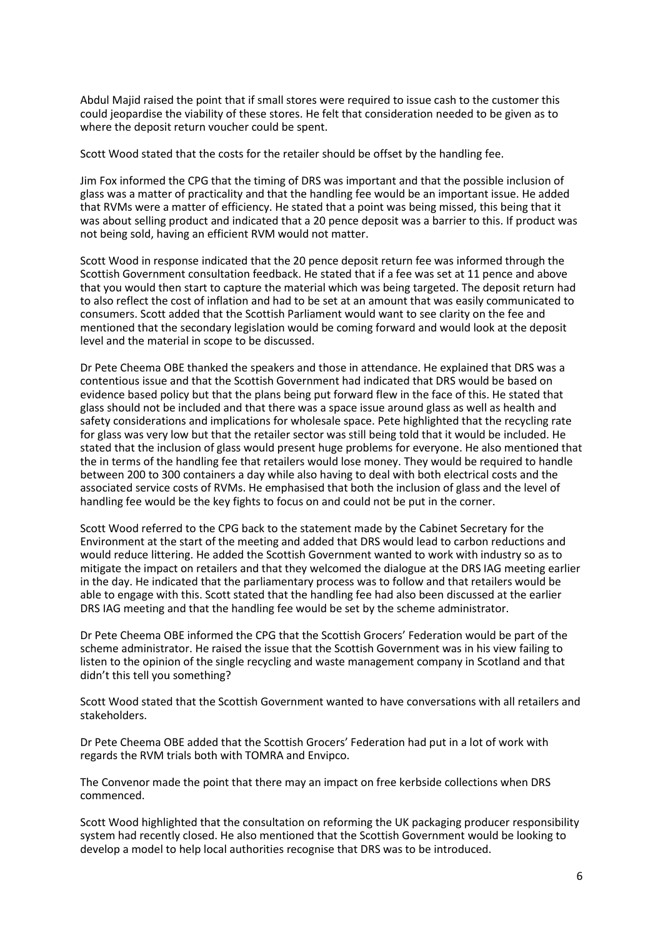Abdul Majid raised the point that if small stores were required to issue cash to the customer this could jeopardise the viability of these stores. He felt that consideration needed to be given as to where the deposit return voucher could be spent.

Scott Wood stated that the costs for the retailer should be offset by the handling fee.

Jim Fox informed the CPG that the timing of DRS was important and that the possible inclusion of glass was a matter of practicality and that the handling fee would be an important issue. He added that RVMs were a matter of efficiency. He stated that a point was being missed, this being that it was about selling product and indicated that a 20 pence deposit was a barrier to this. If product was not being sold, having an efficient RVM would not matter.

Scott Wood in response indicated that the 20 pence deposit return fee was informed through the Scottish Government consultation feedback. He stated that if a fee was set at 11 pence and above that you would then start to capture the material which was being targeted. The deposit return had to also reflect the cost of inflation and had to be set at an amount that was easily communicated to consumers. Scott added that the Scottish Parliament would want to see clarity on the fee and mentioned that the secondary legislation would be coming forward and would look at the deposit level and the material in scope to be discussed.

Dr Pete Cheema OBE thanked the speakers and those in attendance. He explained that DRS was a contentious issue and that the Scottish Government had indicated that DRS would be based on evidence based policy but that the plans being put forward flew in the face of this. He stated that glass should not be included and that there was a space issue around glass as well as health and safety considerations and implications for wholesale space. Pete highlighted that the recycling rate for glass was very low but that the retailer sector was still being told that it would be included. He stated that the inclusion of glass would present huge problems for everyone. He also mentioned that the in terms of the handling fee that retailers would lose money. They would be required to handle between 200 to 300 containers a day while also having to deal with both electrical costs and the associated service costs of RVMs. He emphasised that both the inclusion of glass and the level of handling fee would be the key fights to focus on and could not be put in the corner.

Scott Wood referred to the CPG back to the statement made by the Cabinet Secretary for the Environment at the start of the meeting and added that DRS would lead to carbon reductions and would reduce littering. He added the Scottish Government wanted to work with industry so as to mitigate the impact on retailers and that they welcomed the dialogue at the DRS IAG meeting earlier in the day. He indicated that the parliamentary process was to follow and that retailers would be able to engage with this. Scott stated that the handling fee had also been discussed at the earlier DRS IAG meeting and that the handling fee would be set by the scheme administrator.

Dr Pete Cheema OBE informed the CPG that the Scottish Grocers' Federation would be part of the scheme administrator. He raised the issue that the Scottish Government was in his view failing to listen to the opinion of the single recycling and waste management company in Scotland and that didn't this tell you something?

Scott Wood stated that the Scottish Government wanted to have conversations with all retailers and stakeholders.

Dr Pete Cheema OBE added that the Scottish Grocers' Federation had put in a lot of work with regards the RVM trials both with TOMRA and Envipco.

The Convenor made the point that there may an impact on free kerbside collections when DRS commenced.

Scott Wood highlighted that the consultation on reforming the UK packaging producer responsibility system had recently closed. He also mentioned that the Scottish Government would be looking to develop a model to help local authorities recognise that DRS was to be introduced.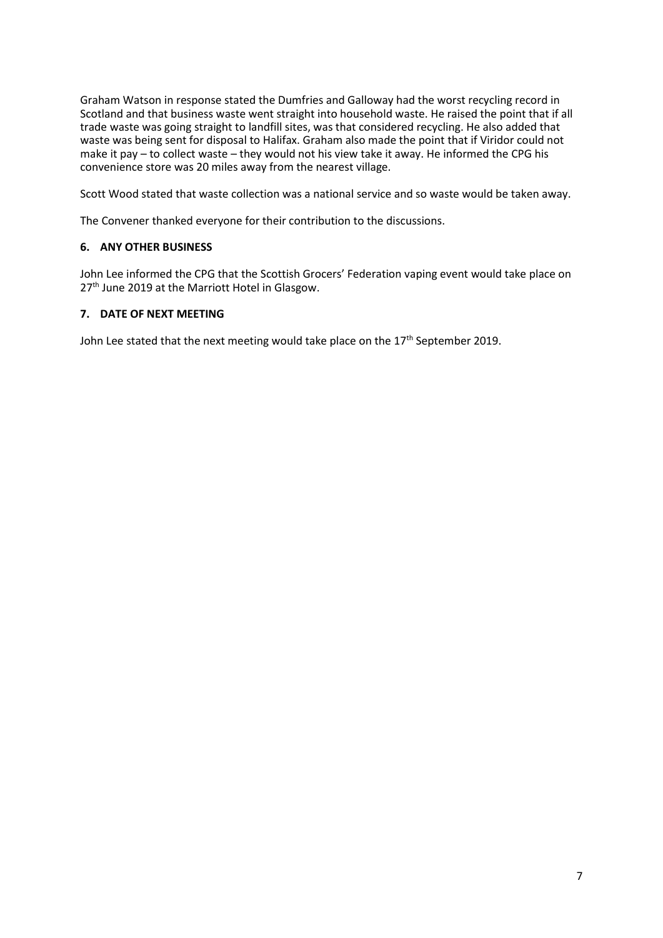Graham Watson in response stated the Dumfries and Galloway had the worst recycling record in Scotland and that business waste went straight into household waste. He raised the point that if all trade waste was going straight to landfill sites, was that considered recycling. He also added that waste was being sent for disposal to Halifax. Graham also made the point that if Viridor could not make it pay – to collect waste – they would not his view take it away. He informed the CPG his convenience store was 20 miles away from the nearest village.

Scott Wood stated that waste collection was a national service and so waste would be taken away.

The Convener thanked everyone for their contribution to the discussions.

## **6. ANY OTHER BUSINESS**

John Lee informed the CPG that the Scottish Grocers' Federation vaping event would take place on 27<sup>th</sup> June 2019 at the Marriott Hotel in Glasgow.

## **7. DATE OF NEXT MEETING**

John Lee stated that the next meeting would take place on the 17<sup>th</sup> September 2019.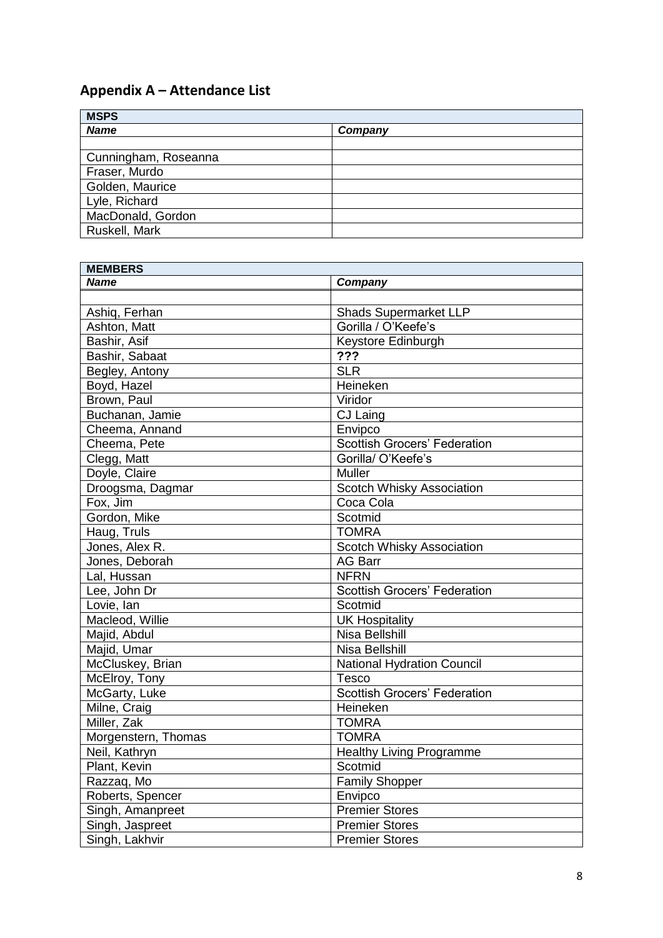# **Appendix A – Attendance List**

| <b>MSPS</b>          |         |
|----------------------|---------|
| <b>Name</b>          | Company |
|                      |         |
| Cunningham, Roseanna |         |
| Fraser, Murdo        |         |
| Golden, Maurice      |         |
| Lyle, Richard        |         |
| MacDonald, Gordon    |         |
| Ruskell, Mark        |         |

| <b>MEMBERS</b>      |                                     |
|---------------------|-------------------------------------|
| <b>Name</b>         | Company                             |
|                     |                                     |
| Ashiq, Ferhan       | <b>Shads Supermarket LLP</b>        |
| Ashton, Matt        | Gorilla / O'Keefe's                 |
| Bashir, Asif        | Keystore Edinburgh                  |
| Bashir, Sabaat      | ???                                 |
| Begley, Antony      | SLR                                 |
| Boyd, Hazel         | Heineken                            |
| Brown, Paul         | Viridor                             |
| Buchanan, Jamie     | CJ Laing                            |
| Cheema, Annand      | Envipco                             |
| Cheema, Pete        | <b>Scottish Grocers' Federation</b> |
| Clegg, Matt         | Gorilla/ O'Keefe's                  |
| Doyle, Claire       | Muller                              |
| Droogsma, Dagmar    | Scotch Whisky Association           |
| Fox, Jim            | Coca Cola                           |
| Gordon, Mike        | Scotmid                             |
| Haug, Truls         | <b>TOMRA</b>                        |
| Jones, Alex R.      | Scotch Whisky Association           |
| Jones, Deborah      | <b>AG Barr</b>                      |
| Lal, Hussan         | <b>NFRN</b>                         |
| Lee, John Dr        | <b>Scottish Grocers' Federation</b> |
| Lovie, lan          | Scotmid                             |
| Macleod, Willie     | <b>UK Hospitality</b>               |
| Majid, Abdul        | Nisa Bellshill                      |
| Majid, Umar         | <b>Nisa Bellshill</b>               |
| McCluskey, Brian    | <b>National Hydration Council</b>   |
| McElroy, Tony       | Tesco                               |
| McGarty, Luke       | <b>Scottish Grocers' Federation</b> |
| Milne, Craig        | Heineken                            |
| Miller, Zak         | <b>TOMRA</b>                        |
| Morgenstern, Thomas | <b>TOMRA</b>                        |
| Neil, Kathryn       | <b>Healthy Living Programme</b>     |
| Plant, Kevin        | Scotmid                             |
| Razzag, Mo          | <b>Family Shopper</b>               |
| Roberts, Spencer    | Envipco                             |
| Singh, Amanpreet    | <b>Premier Stores</b>               |
| Singh, Jaspreet     | <b>Premier Stores</b>               |
| Singh, Lakhvir      | <b>Premier Stores</b>               |